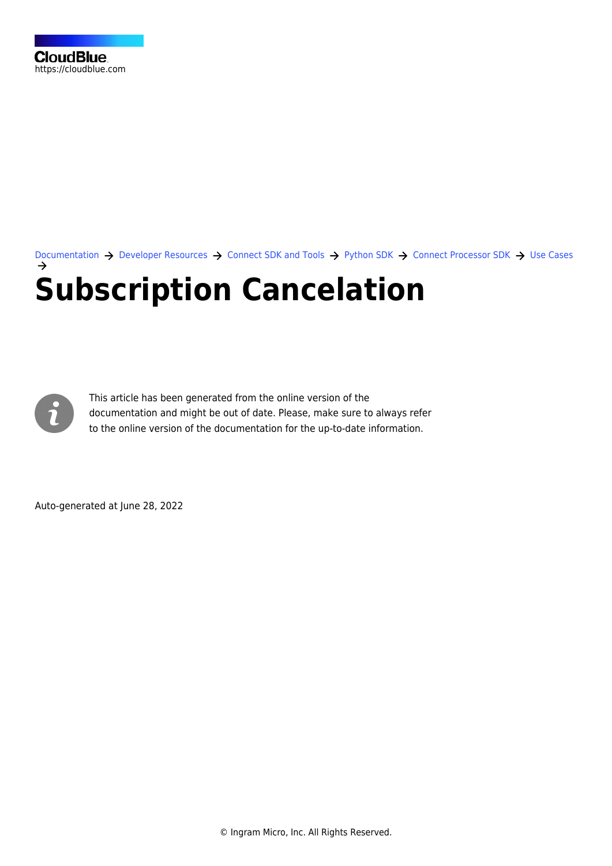[Documentation](https://connect.cloudblue.com/documentation)  $\rightarrow$  [Developer Resources](https://connect.cloudblue.com/community/developers/)  $\rightarrow$  [Connect SDK and Tools](https://connect.cloudblue.com/community/developers/sdk/)  $\rightarrow$  [Python SDK](https://connect.cloudblue.com/community/developers/sdk/python-sdk/)  $\rightarrow$  [Connect Processor SDK](https://connect.cloudblue.com/community/developers/sdk/python-sdk/connect-processor-sdk/)  $\rightarrow$  [Use Cases](https://connect.cloudblue.com/community/developers/sdk/python-sdk/connect-processor-sdk/use-cases/) **[Subscription Cancelation](https://connect.cloudblue.com/community/developers/sdk/python-sdk/connect-processor-sdk/use-cases/subscription-cancelation/)**



This article has been generated from the online version of the documentation and might be out of date. Please, make sure to always refer to the online version of the documentation for the up-to-date information.

Auto-generated at June 28, 2022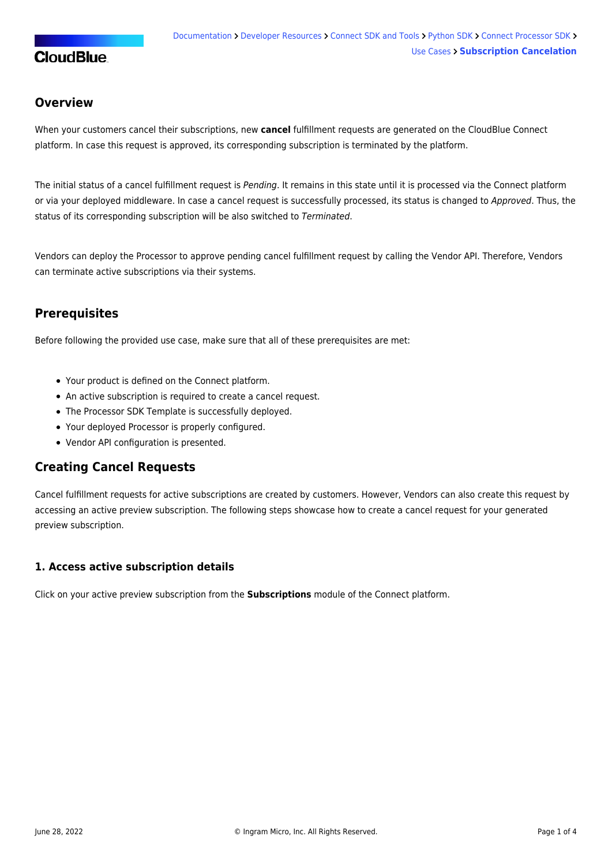# **CloudBlue**

## **Overview**

When your customers cancel their subscriptions, new **cancel** fulfillment requests are generated on the CloudBlue Connect platform. In case this request is approved, its corresponding subscription is terminated by the platform.

The initial status of a cancel fulfillment request is Pending. It remains in this state until it is processed via the Connect platform or via your deployed middleware. In case a cancel request is successfully processed, its status is changed to Approved. Thus, the status of its corresponding subscription will be also switched to Terminated.

Vendors can deploy the Processor to approve pending cancel fulfillment request by calling the Vendor API. Therefore, Vendors can terminate active subscriptions via their systems.

# **Prerequisites**

Before following the provided use case, make sure that all of these prerequisites are met:

- Your [product](https://connect.cloudblue.com/community/modules/products/) is defined on the Connect platform.
- An active [subscription](https://connect.cloudblue.com/community/modules/subscriptions/) is required to create a cancel request.
- The [Processor SDK Template](https://connect.cloudblue.com/community/sdk/connect-processor-sdk/processor-template/) is successfully deployed.
- Your deployed Processor is [properly configured.](https://connect.cloudblue.com/community/sdk/connect-processor-sdk/configuration/)
- [Vendor API configuration](https://connect.cloudblue.com/community/sdk/connect-processor-sdk/configuration/#Connection_configuration) is presented.

## **Creating Cancel Requests**

Cancel fulfillment requests for active subscriptions are created by customers. However, Vendors can also create this request by accessing an active preview subscription. The following steps showcase how to create a cancel request for your generated preview subscription.

## **1. Access active subscription details**

Click on your active preview subscription from the **Subscriptions** module of the Connect platform.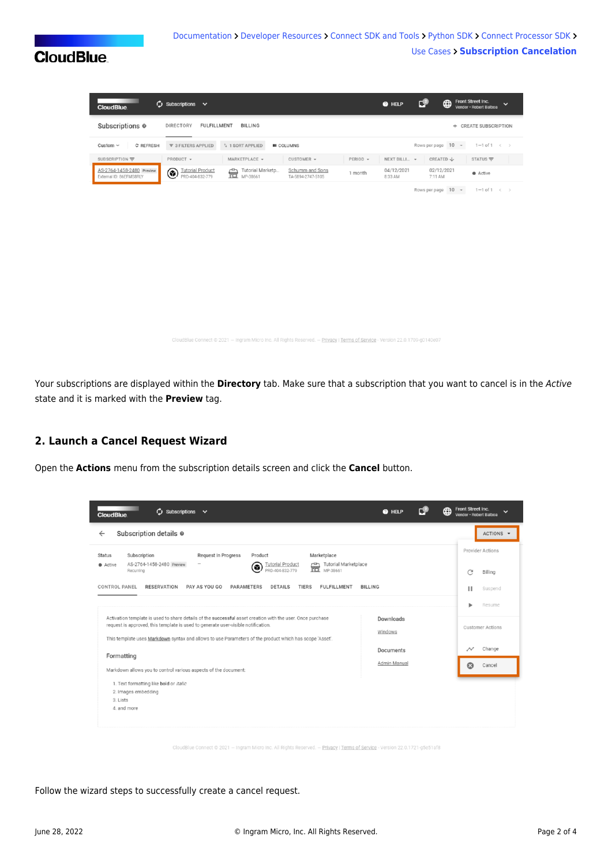# **CloudBlue**

| $\omega$ Subscriptions $\sim$<br><b>CloudBlue</b>         |                                                                                 |                                                 | €∟<br>@ HELP          | Front Street Inc.<br>$\bigoplus$<br>Vendor · Robert Balboa | $\check{ }$ |
|-----------------------------------------------------------|---------------------------------------------------------------------------------|-------------------------------------------------|-----------------------|------------------------------------------------------------|-------------|
| Subscriptions <sup>o</sup><br>DIRECTORY                   | <b>FULFILLMENT</b><br><b>BILLING</b>                                            |                                                 |                       | + CREATE SUBSCRIPTION                                      |             |
| C REFRESH<br>Custom $\sim$                                | ₹ 3 FILTERS APPLIED<br>1 1 SORT APPLIED                                         | <b>III</b> COLUMNS                              |                       | Rows per page 10 -<br>$1-1$ of $1 \leq$                    |             |
| SUBSCRIPTION =<br>PRODUCT -                               | MARKETPLACE -                                                                   | CUSTOMER -<br>PERIOD -                          | NEXT BILLI v          | CREATED $\downarrow$<br>$STATUS =$                         |             |
| AS-2764-1458-2480 Preview<br>۵<br>External ID: 86EFMS8RLY | <b>Tutorial Product</b><br>Tutorial Marketp<br>壸<br>PRD-404-832-779<br>MP-38661 | Schumm and Sons<br>1 month<br>TA-5894-2747-5105 | 04/12/2021<br>8:33 AM | 02/12/2021<br>$\bullet$ Active<br>7:11 AM                  |             |
|                                                           |                                                                                 |                                                 |                       | Rows per page 10 -<br>$1-1$ of $1 \leq$                    |             |
|                                                           |                                                                                 |                                                 |                       |                                                            |             |
|                                                           |                                                                                 |                                                 |                       |                                                            |             |
|                                                           |                                                                                 |                                                 |                       |                                                            |             |
|                                                           |                                                                                 |                                                 |                       |                                                            |             |
|                                                           |                                                                                 |                                                 |                       |                                                            |             |
|                                                           |                                                                                 |                                                 |                       |                                                            |             |

.<br>Blue Connect © 2021 — Ingram Micro Inc. All Rights Reserved. — Privacy | Terms of Service - Version 22.0.1709-g0140e07

Your subscriptions are displayed within the **Directory** tab. Make sure that a subscription that you want to cancel is in the Active state and it is marked with the **Preview** tag.

#### **2. Launch a Cancel Request Wizard**

Open the **Actions** menu from the subscription details screen and click the **Cancel** button.

| $\omega$ Subscriptions $\sim$<br><b>CloudBlue</b>                                                                                                                                                                                                                                                                                  | <b>@</b> HELP             | Front Street Inc.<br>⊕<br>Vendor · Robert Balboa |                             |
|------------------------------------------------------------------------------------------------------------------------------------------------------------------------------------------------------------------------------------------------------------------------------------------------------------------------------------|---------------------------|--------------------------------------------------|-----------------------------|
| Subscription details @<br>$\leftarrow$                                                                                                                                                                                                                                                                                             |                           |                                                  | ACTIONS -                   |
| Request In Progress<br>Marketplace<br>Subscription<br>Product<br><b>Status</b><br>AS-2764-1458-2480 Preview<br>Tutorial Marketplace<br>壸<br><b>Tutorial Product</b><br>Active<br>۵<br>MP-38661<br>PRD-404-832-779<br>Recurring                                                                                                     |                           | C                                                | Provider Actions<br>Billing |
| PAY AS YOU GO<br><b>TIERS</b><br><b>FULFILLMENT</b><br>CONTROL PANEL<br><b>RESERVATION</b><br><b>PARAMETERS</b><br><b>DETAILS</b>                                                                                                                                                                                                  | <b>BILLING</b>            | ш                                                | Suspend<br>Resume           |
| Activation template is used to share details of the successful asset creation with the user. Once purchase<br>Downloads<br>request is approved, this template is used to generate user-visible notification.<br>Windows<br>This template uses Markdown syntax and allows to use Parameters of the product which has scope 'Asset'. |                           |                                                  | <b>Customer Actions</b>     |
| Formatting<br>Markdown allows you to control various aspects of the document:                                                                                                                                                                                                                                                      | Documents<br>Admin Manual | $\scriptstyle{\mathcal{N}}$<br>෬                 | Change<br>Cancel            |
| 1. Text formatting like bold or italic<br>2. Images embedding<br>3. Lists<br>4. and more                                                                                                                                                                                                                                           |                           |                                                  |                             |
|                                                                                                                                                                                                                                                                                                                                    |                           |                                                  |                             |

- Ingram Micro Inc. All Rights Reserved. — <u>Privacy</u> | <u>Terms of Service</u> - Version 22.0.1721-g5e51af8

Follow the wizard steps to successfully create a cancel request.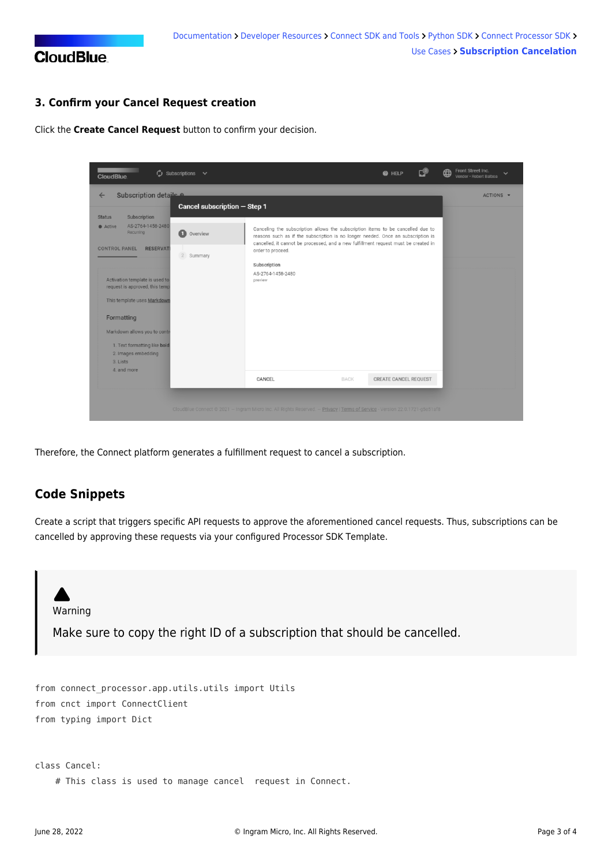

## **3. Confirm your Cancel Request creation**

Click the **Create Cancel Request** button to confirm your decision.

| <b>CloudBlue</b>                                                                                                                                                                                                                                                                                                                                        | $\bigcirc$ Subscriptions $\vee$ |                                                                                                                                                                                                                                                                                                                                 |             | <b>@</b> HELP         | Front Street Inc.<br>⊞<br>Vendor · Robert Balboa |
|---------------------------------------------------------------------------------------------------------------------------------------------------------------------------------------------------------------------------------------------------------------------------------------------------------------------------------------------------------|---------------------------------|---------------------------------------------------------------------------------------------------------------------------------------------------------------------------------------------------------------------------------------------------------------------------------------------------------------------------------|-------------|-----------------------|--------------------------------------------------|
| Subscription details<br>$\leftarrow$                                                                                                                                                                                                                                                                                                                    | Cancel subscription - Step 1    |                                                                                                                                                                                                                                                                                                                                 |             |                       | ACTIONS +                                        |
| Subscription<br><b>Status</b><br>AS-2764-1458-2480<br>Active<br>Recurring<br><b>CONTROL PANEL</b><br><b>RESERVAT</b><br>Activation template is used to<br>request is approved, this temp<br>This template uses Markdown<br>Formatting<br>Markdown allows you to contr<br>1. Text formatting like bold<br>2. Images embedding<br>3. Lists<br>4. and more | G<br>Overview<br>2<br>Summary   | Canceling the subscription allows the subscription items to be cancelled due to<br>reasons such as if the subscription is no longer needed. Once an subscription is<br>cancelled, it cannot be processed, and a new fulfillment request must be created in<br>order to proceed.<br>Subscription<br>AS-2764-1458-2480<br>preview |             |                       |                                                  |
|                                                                                                                                                                                                                                                                                                                                                         |                                 | CANCEL                                                                                                                                                                                                                                                                                                                          | <b>BACK</b> | CREATE CANCEL REQUEST |                                                  |
|                                                                                                                                                                                                                                                                                                                                                         |                                 | CloudBlue Connect @ 2021 - Ingram Micro Inc. All Rights Reserved. - Privacy   Terms of Service - Version 22.0.1721-g5e51af8                                                                                                                                                                                                     |             |                       |                                                  |

Therefore, the Connect platform generates a fulfillment request to cancel a subscription.

## **Code Snippets**

Create a script that triggers specific API requests to approve the aforementioned cancel requests. Thus, subscriptions can be cancelled by approving these requests via your configured [Processor SDK Template.](https://github.com/cloudblue/connect-processor-template-for-python)

Warning Make sure to copy the right ID of a subscription that should be cancelled. from connect\_processor.app.utils.utils import Utils from cnct import ConnectClient from typing import Dict class Cancel:

# This class is used to manage cancel request in Connect.